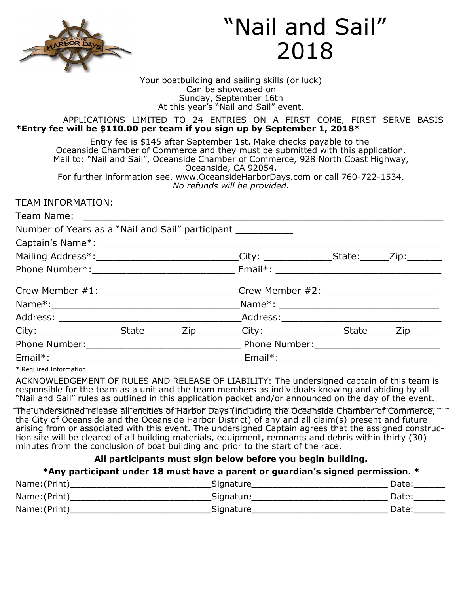

# "Nail and Sail" 2018

Your boatbuilding and sailing skills (or luck) Can be showcased on Sunday, September 16th At this year's "Nail and Sail" event.

#### APPLICATIONS LIMITED TO 24 ENTRIES ON A FIRST COME, FIRST SERVE BASIS **\*Entry fee will be \$110.00 per team if you sign up by September 1, 2018\***

Entry fee is \$145 after September 1st. Make checks payable to the Oceanside Chamber of Commerce and they must be submitted with this application. Mail to: "Nail and Sail", Oceanside Chamber of Commerce, 928 North Coast Highway, Oceanside, CA 92054. For further information see, www.OceansideHarborDays.com or call 760-722-1534.

*No refunds will be provided.* 

TEAM INFORMATION:

| Number of Years as a "Nail and Sail" participant ____________ |  |                                                                                                      |  |
|---------------------------------------------------------------|--|------------------------------------------------------------------------------------------------------|--|
|                                                               |  |                                                                                                      |  |
|                                                               |  | Mailing Address*:______________________________City: ________________State: ______Zip:________       |  |
|                                                               |  |                                                                                                      |  |
|                                                               |  | Crew Member #1: ______________________________Crew Member #2: __________________                     |  |
|                                                               |  |                                                                                                      |  |
|                                                               |  |                                                                                                      |  |
|                                                               |  | City:_____________________State_________Zip__________City:____________________State_______Zip_______ |  |
|                                                               |  |                                                                                                      |  |
|                                                               |  |                                                                                                      |  |
| $\forall$ Described Tafanacation                              |  |                                                                                                      |  |

\* Required Information

ACKNOWLEDGEMENT OF RULES AND RELEASE OF LIABILITY: The undersigned captain of this team is responsible for the team as a unit and the team members as individuals knowing and abiding by all "Nail and Sail" rules as outlined in this application packet and/or announced on the day of the event.

The undersigned release all entities of Harbor Days (including the Oceanside Chamber of Commerce, the City of Oceanside and the Oceanside Harbor District) of any and all claim(s) present and future arising from or associated with this event. The undersigned Captain agrees that the assigned construction site will be cleared of all building materials, equipment, remnants and debris within thirty (30) minutes from the conclusion of boat building and prior to the start of the race.

# **All participants must sign below before you begin building.**

### **\*Any participant under 18 must have a parent or guardian's signed permission. \***

| Name: (Print) | Signature | Date: |
|---------------|-----------|-------|
| Name: (Print) | Signature | Date: |
| Name: (Print) | Signature | Date: |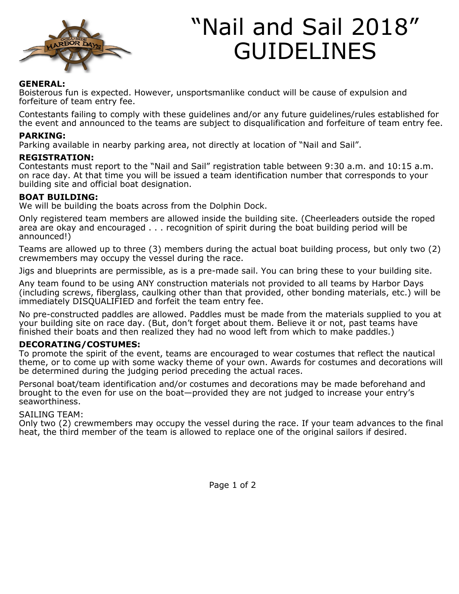

# "Nail and Sail 2018" GUIDELINES

#### **GENERAL:**

Boisterous fun is expected. However, unsportsmanlike conduct will be cause of expulsion and forfeiture of team entry fee.

Contestants failing to comply with these guidelines and/or any future guidelines/rules established for the event and announced to the teams are subject to disqualification and forfeiture of team entry fee.

#### **PARKING:**

Parking available in nearby parking area, not directly at location of "Nail and Sail".

#### **REGISTRATION:**

Contestants must report to the "Nail and Sail" registration table between 9:30 a.m. and 10:15 a.m. on race day. At that time you will be issued a team identification number that corresponds to your building site and official boat designation.

#### **BOAT BUILDING:**

We will be building the boats across from the Dolphin Dock.

Only registered team members are allowed inside the building site. (Cheerleaders outside the roped area are okay and encouraged . . . recognition of spirit during the boat building period will be announced!)

Teams are allowed up to three (3) members during the actual boat building process, but only two (2) crewmembers may occupy the vessel during the race.

Jigs and blueprints are permissible, as is a pre-made sail. You can bring these to your building site.

Any team found to be using ANY construction materials not provided to all teams by Harbor Days (including screws, fiberglass, caulking other than that provided, other bonding materials, etc.) will be immediately DISQUALIFIED and forfeit the team entry fee.

No pre-constructed paddles are allowed. Paddles must be made from the materials supplied to you at your building site on race day. (But, don't forget about them. Believe it or not, past teams have finished their boats and then realized they had no wood left from which to make paddles.)

#### **DECORATING/COSTUMES:**

To promote the spirit of the event, teams are encouraged to wear costumes that reflect the nautical theme, or to come up with some wacky theme of your own. Awards for costumes and decorations will be determined during the judging period preceding the actual races.

Personal boat/team identification and/or costumes and decorations may be made beforehand and brought to the even for use on the boat—provided they are not judged to increase your entry's seaworthiness.

#### SAILING TEAM:

Only two (2) crewmembers may occupy the vessel during the race. If your team advances to the final heat, the third member of the team is allowed to replace one of the original sailors if desired.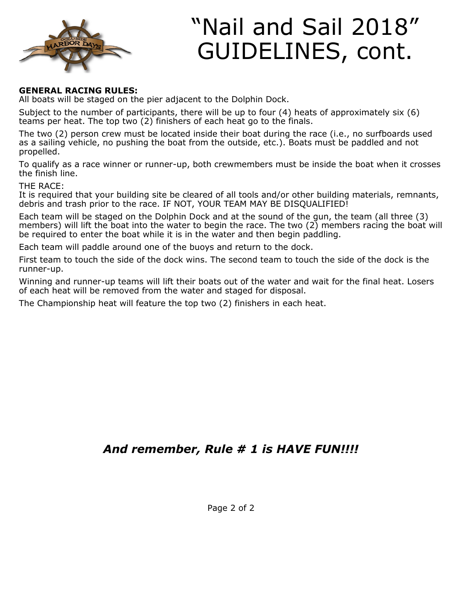

# "Nail and Sail 2018" GUIDELINES, cont.

# **GENERAL RACING RULES:**

All boats will be staged on the pier adjacent to the Dolphin Dock.

Subject to the number of participants, there will be up to four (4) heats of approximately six (6) teams per heat. The top two (2) finishers of each heat go to the finals.

The two (2) person crew must be located inside their boat during the race (i.e., no surfboards used as a sailing vehicle, no pushing the boat from the outside, etc.). Boats must be paddled and not propelled.

To qualify as a race winner or runner-up, both crewmembers must be inside the boat when it crosses the finish line.

THE RACE:

It is required that your building site be cleared of all tools and/or other building materials, remnants, debris and trash prior to the race. IF NOT, YOUR TEAM MAY BE DISQUALIFIED!

Each team will be staged on the Dolphin Dock and at the sound of the gun, the team (all three (3) members) will lift the boat into the water to begin the race. The two (2) members racing the boat will be required to enter the boat while it is in the water and then begin paddling.

Each team will paddle around one of the buoys and return to the dock.

First team to touch the side of the dock wins. The second team to touch the side of the dock is the runner-up.

Winning and runner-up teams will lift their boats out of the water and wait for the final heat. Losers of each heat will be removed from the water and staged for disposal.

The Championship heat will feature the top two (2) finishers in each heat.

# *And remember, Rule # 1 is HAVE FUN!!!!*